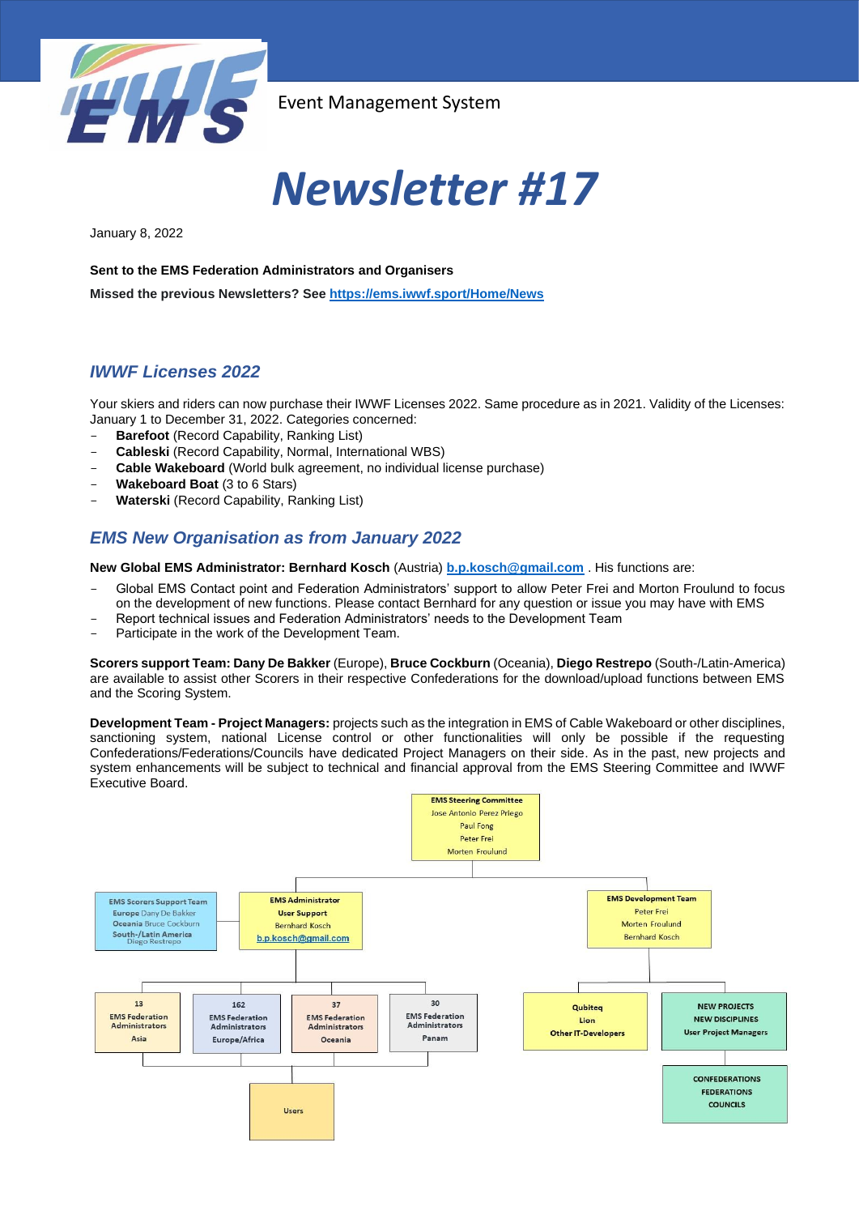

# *Newsletter #17*

January 8, 2022

**Sent to the EMS Federation Administrators and Organisers**

**Missed the previous Newsletters? See <https://ems.iwwf.sport/Home/News>**

## *IWWF Licenses 2022*

Your skiers and riders can now purchase their IWWF Licenses 2022. Same procedure as in 2021. Validity of the Licenses: January 1 to December 31, 2022. Categories concerned:

- **Barefoot** (Record Capability, Ranking List)
- **Cableski** (Record Capability, Normal, International WBS)
- **Cable Wakeboard** (World bulk agreement, no individual license purchase)
- **Wakeboard Boat** (3 to 6 Stars)
- **Waterski** (Record Capability, Ranking List)

## *EMS New Organisation as from January 2022*

**New Global EMS Administrator: Bernhard Kosch** (Austria) **[b.p.kosch@gmail.com](mailto:b.p.kosch@gmail.com)** . His functions are:

- Global EMS Contact point and Federation Administrators' support to allow Peter Frei and Morton Froulund to focus on the development of new functions. Please contact Bernhard for any question or issue you may have with EMS
- Report technical issues and Federation Administrators' needs to the Development Team
- Participate in the work of the Development Team.

**Scorers support Team: Dany De Bakker** (Europe), **Bruce Cockburn** (Oceania), **Diego Restrepo** (South-/Latin-America) are available to assist other Scorers in their respective Confederations for the download/upload functions between EMS and the Scoring System.

**Development Team - Project Managers:** projects such as the integration in EMS of Cable Wakeboard or other disciplines, sanctioning system, national License control or other functionalities will only be possible if the requesting Confederations/Federations/Councils have dedicated Project Managers on their side. As in the past, new projects and system enhancements will be subject to technical and financial approval from the EMS Steering Committee and IWWF Executive Board.